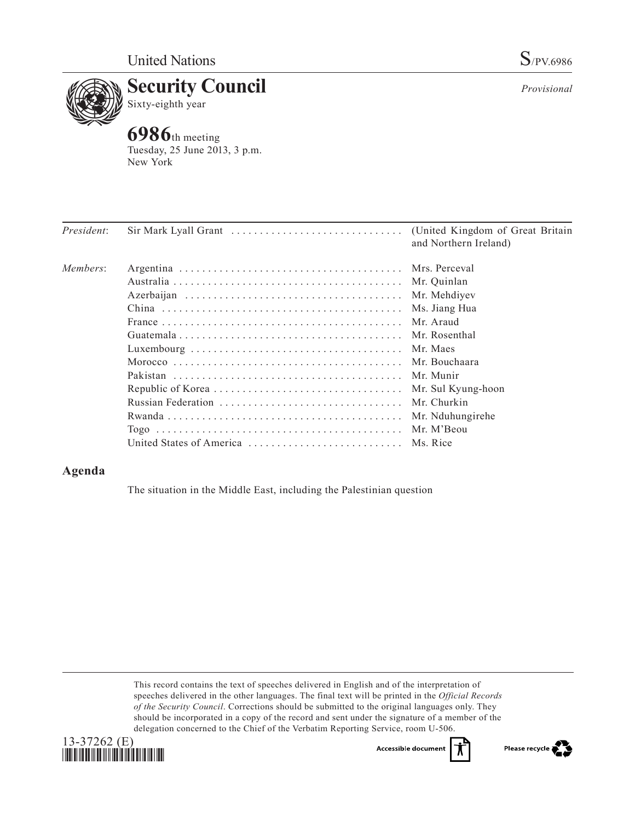

*Provisional*

## **Example 3 Security Council**<br>Sixty-eighth year Sixty-eighth year

**6986**th meeting Tuesday, 25 June 2013, 3 p.m. New York

| <i>President:</i> | $Sir Mark Lyall Grant \dots \dots \dots \dots \dots \dots \dots \dots \dots \dots \dots$ | (United Kingdom of Great Britain)<br>and Northern Ireland) |
|-------------------|------------------------------------------------------------------------------------------|------------------------------------------------------------|
| Members:          |                                                                                          |                                                            |
|                   |                                                                                          |                                                            |
|                   |                                                                                          | Mr. Mehdiyev                                               |
|                   |                                                                                          | Ms. Jiang Hua                                              |
|                   |                                                                                          | Mr. Araud                                                  |
|                   |                                                                                          | Mr. Rosenthal                                              |
|                   |                                                                                          |                                                            |
|                   |                                                                                          | Mr. Bouchaara                                              |
|                   |                                                                                          |                                                            |
|                   |                                                                                          | Mr. Sul Kyung-hoon                                         |
|                   |                                                                                          | Mr. Churkin                                                |
|                   |                                                                                          | Mr. Nduhungirehe                                           |
|                   |                                                                                          |                                                            |
|                   | United States of America  Ms. Rice                                                       |                                                            |

## **Agenda**

The situation in the Middle East, including the Palestinian question

This record contains the text of speeches delivered in English and of the interpretation of speeches delivered in the other languages. The final text will be printed in the *Official Records of the Security Council*. Corrections should be submitted to the original languages only. They should be incorporated in a copy of the record and sent under the signature of a member of the delegation concerned to the Chief of the Verbatim Reporting Service, room U-506.



Accessible documen

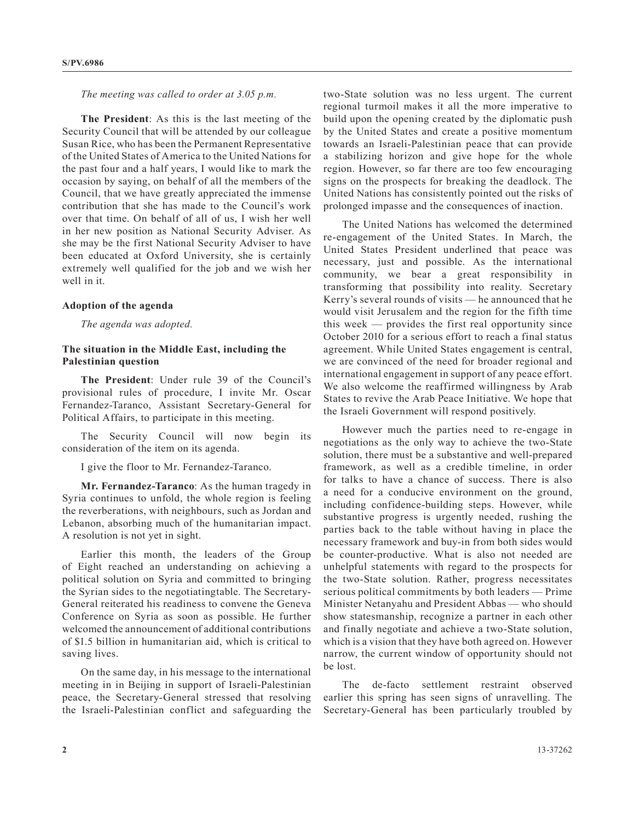*The meeting was called to order at 3.05 p.m.*

**The President**: As this is the last meeting of the Security Council that will be attended by our colleague Susan Rice, who has been the Permanent Representative of the United States of America to the United Nations for the past four and a half years, I would like to mark the occasion by saying, on behalf of all the members of the Council, that we have greatly appreciated the immense contribution that she has made to the Council's work over that time. On behalf of all of us, I wish her well in her new position as National Security Adviser. As she may be the first National Security Adviser to have been educated at Oxford University, she is certainly extremely well qualified for the job and we wish her well in it.

## **Adoption of the agenda**

*The agenda was adopted.*

## **The situation in the Middle East, including the Palestinian question**

**The President**: Under rule 39 of the Council's provisional rules of procedure, I invite Mr. Oscar Fernandez-Taranco, Assistant Secretary-General for Political Affairs, to participate in this meeting.

The Security Council will now begin its consideration of the item on its agenda.

I give the floor to Mr. Fernandez-Taranco.

**Mr. Fernandez-Taranco**: As the human tragedy in Syria continues to unfold, the whole region is feeling the reverberations, with neighbours, such as Jordan and Lebanon, absorbing much of the humanitarian impact. A resolution is not yet in sight.

Earlier this month, the leaders of the Group of Eight reached an understanding on achieving a political solution on Syria and committed to bringing the Syrian sides to the negotiatingtable. The Secretary-General reiterated his readiness to convene the Geneva Conference on Syria as soon as possible. He further welcomed the announcement of additional contributions of \$1.5 billion in humanitarian aid, which is critical to saving lives.

On the same day, in his message to the international meeting in in Beijing in support of Israeli-Palestinian peace, the Secretary-General stressed that resolving the Israeli-Palestinian conflict and safeguarding the

two-State solution was no less urgent. The current regional turmoil makes it all the more imperative to build upon the opening created by the diplomatic push by the United States and create a positive momentum towards an Israeli-Palestinian peace that can provide a stabilizing horizon and give hope for the whole region. However, so far there are too few encouraging signs on the prospects for breaking the deadlock. The United Nations has consistently pointed out the risks of prolonged impasse and the consequences of inaction.

The United Nations has welcomed the determined re-engagement of the United States. In March, the United States President underlined that peace was necessary, just and possible. As the international community, we bear a great responsibility in transforming that possibility into reality. Secretary Kerry's several rounds of visits — he announced that he would visit Jerusalem and the region for the fifth time this week — provides the first real opportunity since October 2010 for a serious effort to reach a final status agreement. While United States engagement is central, we are convinced of the need for broader regional and international engagement in support of any peace effort. We also welcome the reaffirmed willingness by Arab States to revive the Arab Peace Initiative. We hope that the Israeli Government will respond positively.

However much the parties need to re-engage in negotiations as the only way to achieve the two-State solution, there must be a substantive and well-prepared framework, as well as a credible timeline, in order for talks to have a chance of success. There is also a need for a conducive environment on the ground, including confidence-building steps. However, while substantive progress is urgently needed, rushing the parties back to the table without having in place the necessary framework and buy-in from both sides would be counter-productive. What is also not needed are unhelpful statements with regard to the prospects for the two-State solution. Rather, progress necessitates serious political commitments by both leaders — Prime Minister Netanyahu and President Abbas — who should show statesmanship, recognize a partner in each other and finally negotiate and achieve a two-State solution, which is a vision that they have both agreed on. However narrow, the current window of opportunity should not be lost.

The de-facto settlement restraint observed earlier this spring has seen signs of unravelling. The Secretary-General has been particularly troubled by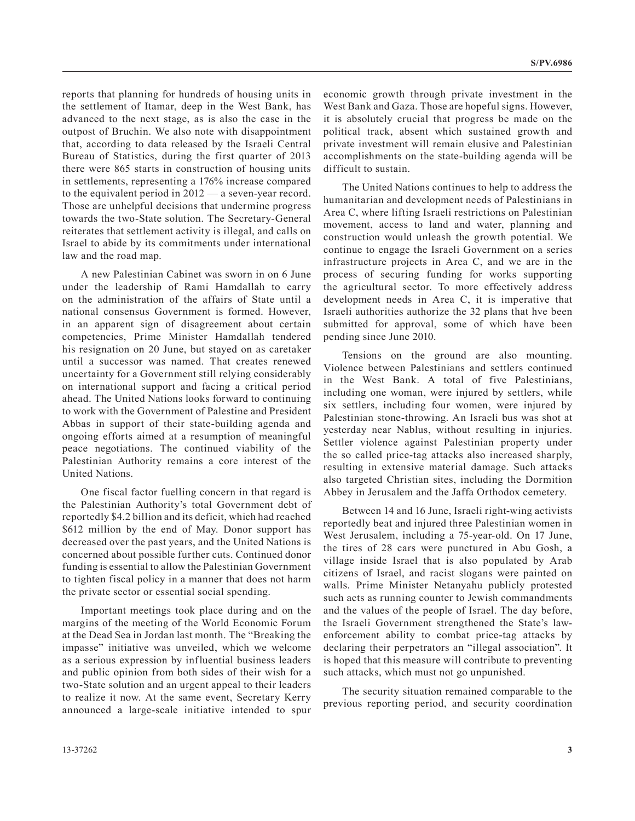reports that planning for hundreds of housing units in the settlement of Itamar, deep in the West Bank, has advanced to the next stage, as is also the case in the outpost of Bruchin. We also note with disappointment that, according to data released by the Israeli Central Bureau of Statistics, during the first quarter of 2013 there were 865 starts in construction of housing units in settlements, representing a 176% increase compared to the equivalent period in 2012 — a seven-year record. Those are unhelpful decisions that undermine progress towards the two-State solution. The Secretary-General reiterates that settlement activity is illegal, and calls on Israel to abide by its commitments under international law and the road map.

A new Palestinian Cabinet was sworn in on 6 June under the leadership of Rami Hamdallah to carry on the administration of the affairs of State until a national consensus Government is formed. However, in an apparent sign of disagreement about certain competencies, Prime Minister Hamdallah tendered his resignation on 20 June, but stayed on as caretaker until a successor was named. That creates renewed uncertainty for a Government still relying considerably on international support and facing a critical period ahead. The United Nations looks forward to continuing to work with the Government of Palestine and President Abbas in support of their state-building agenda and ongoing efforts aimed at a resumption of meaningful peace negotiations. The continued viability of the Palestinian Authority remains a core interest of the United Nations.

One fiscal factor fuelling concern in that regard is the Palestinian Authority's total Government debt of reportedly \$4.2 billion and its deficit, which had reached \$612 million by the end of May. Donor support has decreased over the past years, and the United Nations is concerned about possible further cuts. Continued donor funding is essential to allow the Palestinian Government to tighten fiscal policy in a manner that does not harm the private sector or essential social spending.

Important meetings took place during and on the margins of the meeting of the World Economic Forum at the Dead Sea in Jordan last month. The "Breaking the impasse" initiative was unveiled, which we welcome as a serious expression by influential business leaders and public opinion from both sides of their wish for a two-State solution and an urgent appeal to their leaders to realize it now. At the same event, Secretary Kerry announced a large-scale initiative intended to spur economic growth through private investment in the West Bank and Gaza. Those are hopeful signs. However, it is absolutely crucial that progress be made on the political track, absent which sustained growth and private investment will remain elusive and Palestinian accomplishments on the state-building agenda will be difficult to sustain.

The United Nations continues to help to address the humanitarian and development needs of Palestinians in Area C, where lifting Israeli restrictions on Palestinian movement, access to land and water, planning and construction would unleash the growth potential. We continue to engage the Israeli Government on a series infrastructure projects in Area C, and we are in the process of securing funding for works supporting the agricultural sector. To more effectively address development needs in Area C, it is imperative that Israeli authorities authorize the 32 plans that hve been submitted for approval, some of which have been pending since June 2010.

Tensions on the ground are also mounting. Violence between Palestinians and settlers continued in the West Bank. A total of five Palestinians, including one woman, were injured by settlers, while six settlers, including four women, were injured by Palestinian stone-throwing. An Israeli bus was shot at yesterday near Nablus, without resulting in injuries. Settler violence against Palestinian property under the so called price-tag attacks also increased sharply, resulting in extensive material damage. Such attacks also targeted Christian sites, including the Dormition Abbey in Jerusalem and the Jaffa Orthodox cemetery.

Between 14 and 16 June, Israeli right-wing activists reportedly beat and injured three Palestinian women in West Jerusalem, including a 75-year-old. On 17 June, the tires of 28 cars were punctured in Abu Gosh, a village inside Israel that is also populated by Arab citizens of Israel, and racist slogans were painted on walls. Prime Minister Netanyahu publicly protested such acts as running counter to Jewish commandments and the values of the people of Israel. The day before, the Israeli Government strengthened the State's lawenforcement ability to combat price-tag attacks by declaring their perpetrators an "illegal association". It is hoped that this measure will contribute to preventing such attacks, which must not go unpunished.

The security situation remained comparable to the previous reporting period, and security coordination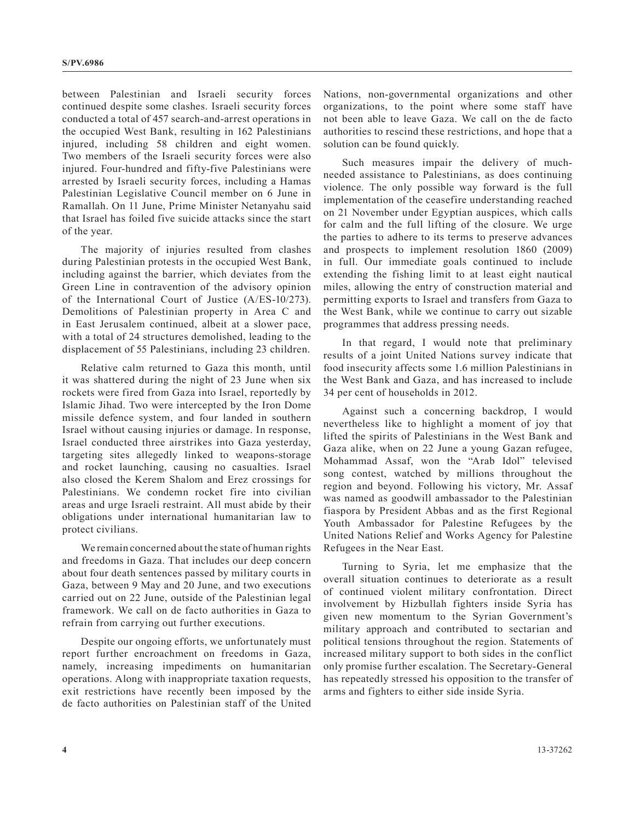between Palestinian and Israeli security forces continued despite some clashes. Israeli security forces conducted a total of 457 search-and-arrest operations in the occupied West Bank, resulting in 162 Palestinians injured, including 58 children and eight women. Two members of the Israeli security forces were also injured. Four-hundred and fifty-five Palestinians were arrested by Israeli security forces, including a Hamas Palestinian Legislative Council member on 6 June in Ramallah. On 11 June, Prime Minister Netanyahu said that Israel has foiled five suicide attacks since the start of the year.

The majority of injuries resulted from clashes during Palestinian protests in the occupied West Bank, including against the barrier, which deviates from the Green Line in contravention of the advisory opinion of the International Court of Justice (A/ES-10/273). Demolitions of Palestinian property in Area C and in East Jerusalem continued, albeit at a slower pace, with a total of 24 structures demolished, leading to the displacement of 55 Palestinians, including 23 children.

Relative calm returned to Gaza this month, until it was shattered during the night of 23 June when six rockets were fired from Gaza into Israel, reportedly by Islamic Jihad. Two were intercepted by the Iron Dome missile defence system, and four landed in southern Israel without causing injuries or damage. In response, Israel conducted three airstrikes into Gaza yesterday, targeting sites allegedly linked to weapons-storage and rocket launching, causing no casualties. Israel also closed the Kerem Shalom and Erez crossings for Palestinians. We condemn rocket fire into civilian areas and urge Israeli restraint. All must abide by their obligations under international humanitarian law to protect civilians.

We remain concerned about the state of human rights and freedoms in Gaza. That includes our deep concern about four death sentences passed by military courts in Gaza, between 9 May and 20 June, and two executions carried out on 22 June, outside of the Palestinian legal framework. We call on de facto authorities in Gaza to refrain from carrying out further executions.

Despite our ongoing efforts, we unfortunately must report further encroachment on freedoms in Gaza, namely, increasing impediments on humanitarian operations. Along with inappropriate taxation requests, exit restrictions have recently been imposed by the de facto authorities on Palestinian staff of the United

Nations, non-governmental organizations and other organizations, to the point where some staff have not been able to leave Gaza. We call on the de facto authorities to rescind these restrictions, and hope that a solution can be found quickly.

Such measures impair the delivery of muchneeded assistance to Palestinians, as does continuing violence. The only possible way forward is the full implementation of the ceasefire understanding reached on 21 November under Egyptian auspices, which calls for calm and the full lifting of the closure. We urge the parties to adhere to its terms to preserve advances and prospects to implement resolution 1860 (2009) in full. Our immediate goals continued to include extending the fishing limit to at least eight nautical miles, allowing the entry of construction material and permitting exports to Israel and transfers from Gaza to the West Bank, while we continue to carry out sizable programmes that address pressing needs.

In that regard, I would note that preliminary results of a joint United Nations survey indicate that food insecurity affects some 1.6 million Palestinians in the West Bank and Gaza, and has increased to include 34 per cent of households in 2012.

Against such a concerning backdrop, I would nevertheless like to highlight a moment of joy that lifted the spirits of Palestinians in the West Bank and Gaza alike, when on 22 June a young Gazan refugee, Mohammad Assaf, won the "Arab Idol" televised song contest, watched by millions throughout the region and beyond. Following his victory, Mr. Assaf was named as goodwill ambassador to the Palestinian fiaspora by President Abbas and as the first Regional Youth Ambassador for Palestine Refugees by the United Nations Relief and Works Agency for Palestine Refugees in the Near East.

Turning to Syria, let me emphasize that the overall situation continues to deteriorate as a result of continued violent military confrontation. Direct involvement by Hizbullah fighters inside Syria has given new momentum to the Syrian Government's military approach and contributed to sectarian and political tensions throughout the region. Statements of increased military support to both sides in the conflict only promise further escalation. The Secretary-General has repeatedly stressed his opposition to the transfer of arms and fighters to either side inside Syria.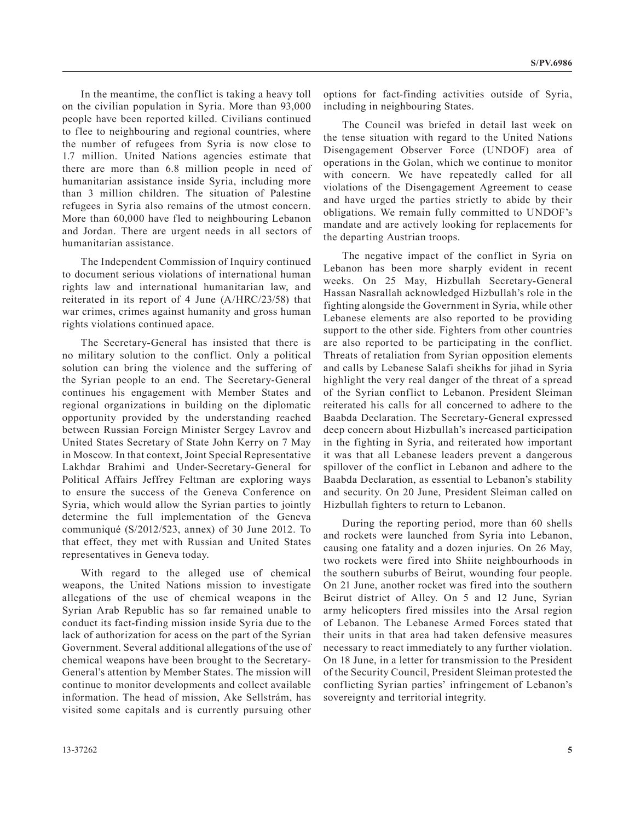In the meantime, the conflict is taking a heavy toll on the civilian population in Syria. More than 93,000 people have been reported killed. Civilians continued to flee to neighbouring and regional countries, where the number of refugees from Syria is now close to 1.7 million. United Nations agencies estimate that there are more than 6.8 million people in need of humanitarian assistance inside Syria, including more than 3 million children. The situation of Palestine refugees in Syria also remains of the utmost concern. More than 60,000 have fled to neighbouring Lebanon and Jordan. There are urgent needs in all sectors of humanitarian assistance.

The Independent Commission of Inquiry continued to document serious violations of international human rights law and international humanitarian law, and reiterated in its report of 4 June (A/HRC/23/58) that war crimes, crimes against humanity and gross human rights violations continued apace.

The Secretary-General has insisted that there is no military solution to the conflict. Only a political solution can bring the violence and the suffering of the Syrian people to an end. The Secretary-General continues his engagement with Member States and regional organizations in building on the diplomatic opportunity provided by the understanding reached between Russian Foreign Minister Sergey Lavrov and United States Secretary of State John Kerry on 7 May in Moscow. In that context, Joint Special Representative Lakhdar Brahimi and Under-Secretary-General for Political Affairs Jeffrey Feltman are exploring ways to ensure the success of the Geneva Conference on Syria, which would allow the Syrian parties to jointly determine the full implementation of the Geneva communiqué (S/2012/523, annex) of 30 June 2012. To that effect, they met with Russian and United States representatives in Geneva today.

With regard to the alleged use of chemical weapons, the United Nations mission to investigate allegations of the use of chemical weapons in the Syrian Arab Republic has so far remained unable to conduct its fact-finding mission inside Syria due to the lack of authorization for acess on the part of the Syrian Government. Several additional allegations of the use of chemical weapons have been brought to the Secretary-General's attention by Member States. The mission will continue to monitor developments and collect available information. The head of mission, Ake Sellstrám, has visited some capitals and is currently pursuing other

options for fact-finding activities outside of Syria, including in neighbouring States.

The Council was briefed in detail last week on the tense situation with regard to the United Nations Disengagement Observer Force (UNDOF) area of operations in the Golan, which we continue to monitor with concern. We have repeatedly called for all violations of the Disengagement Agreement to cease and have urged the parties strictly to abide by their obligations. We remain fully committed to UNDOF's mandate and are actively looking for replacements for the departing Austrian troops.

The negative impact of the conflict in Syria on Lebanon has been more sharply evident in recent weeks. On 25 May, Hizbullah Secretary-General Hassan Nasrallah acknowledged Hizbullah's role in the fighting alongside the Government in Syria, while other Lebanese elements are also reported to be providing support to the other side. Fighters from other countries are also reported to be participating in the conflict. Threats of retaliation from Syrian opposition elements and calls by Lebanese Salafi sheikhs for jihad in Syria highlight the very real danger of the threat of a spread of the Syrian conflict to Lebanon. President Sleiman reiterated his calls for all concerned to adhere to the Baabda Declaration. The Secretary-General expressed deep concern about Hizbullah's increased participation in the fighting in Syria, and reiterated how important it was that all Lebanese leaders prevent a dangerous spillover of the conflict in Lebanon and adhere to the Baabda Declaration, as essential to Lebanon's stability and security. On 20 June, President Sleiman called on Hizbullah fighters to return to Lebanon.

During the reporting period, more than 60 shells and rockets were launched from Syria into Lebanon, causing one fatality and a dozen injuries. On 26 May, two rockets were fired into Shiite neighbourhoods in the southern suburbs of Beirut, wounding four people. On 21 June, another rocket was fired into the southern Beirut district of Alley. On 5 and 12 June, Syrian army helicopters fired missiles into the Arsal region of Lebanon. The Lebanese Armed Forces stated that their units in that area had taken defensive measures necessary to react immediately to any further violation. On 18 June, in a letter for transmission to the President of the Security Council, President Sleiman protested the conflicting Syrian parties' infringement of Lebanon's sovereignty and territorial integrity.